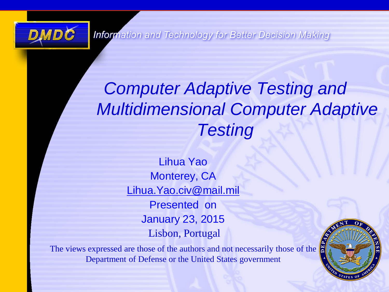

**Information and Technology for Better Decision Making** 

### *Computer Adaptive Testing and Multidimensional Computer Adaptive Testing*

Lihua Yao Monterey, CA [Lihua.Yao.civ@mail.mil](mailto:Lihua.Yao.civ@mail.mil) Presented on January 23, 2015 Lisbon, Portugal

The views expressed are those of the authors and not necessarily those of the Department of Defense or the United States government

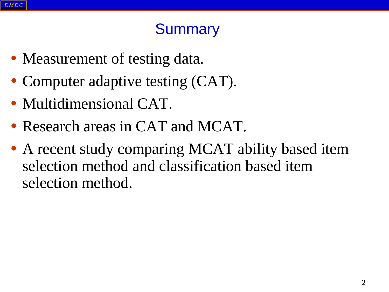### **Summary**

- Measurement of testing data.
- Computer adaptive testing (CAT).
- Multidimensional CAT.
- Research areas in CAT and MCAT.
- A recent study comparing MCAT ability based item selection method and classification based item selection method.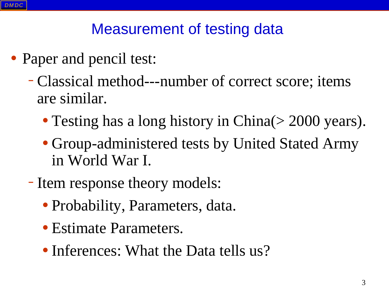### Measurement of testing data

- Paper and pencil test:
	- –Classical method---number of correct score; items are similar.
		- Testing has a long history in China(> 2000 years).
		- Group-administered tests by United Stated Army in World War I.
	- Item response theory models:
		- Probability, Parameters, data.
		- Estimate Parameters.
		- Inferences: What the Data tells us?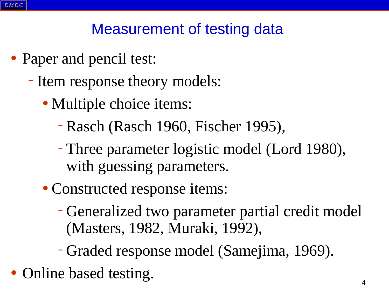### Measurement of testing data

- Paper and pencil test:
	- Item response theory models:
		- Multiple choice items:
			- –Rasch (Rasch 1960, Fischer 1995),
			- –Three parameter logistic model (Lord 1980), with guessing parameters.
		- Constructed response items:
			- –Generalized two parameter partial credit model (Masters, 1982, Muraki, 1992),
			- –Graded response model (Samejima, 1969).
- Online based testing.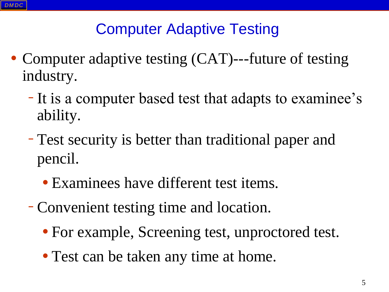- Computer adaptive testing (CAT)---future of testing industry.
	- It is a computer based test that adapts to examinee's ability.
	- –Test security is better than traditional paper and pencil.
		- Examinees have different test items.
	- –Convenient testing time and location.
		- For example, Screening test, unproctored test.
		- Test can be taken any time at home.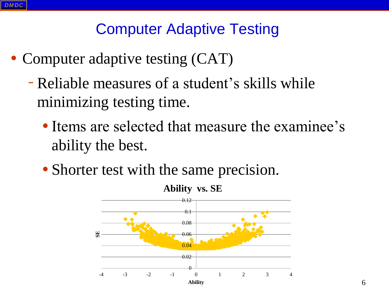- Computer adaptive testing (CAT)
	- –Reliable measures of a student's skills while minimizing testing time.
		- Items are selected that measure the examinee's ability the best.
		- Shorter test with the same precision.

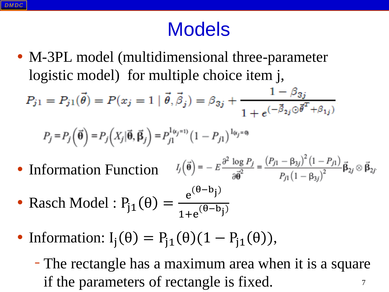### Models

• M-3PL model (multidimensional three-parameter logistic model) for multiple choice item j,

$$
P_{j1} = P_{j1}(\vec{\theta}) = P(x_j = 1 | \vec{\theta}, \vec{\beta}_j) = \beta_{3j} + \frac{1 - \beta_{3j}}{1 + e^{(-\vec{\beta}_{2j} \odot \vec{\theta}^T + \beta_{1j})}}
$$

$$
P_j = P_j\left(\vec{\boldsymbol{\theta}}\right) = P_j\left(X_j|\vec{\boldsymbol{\theta}}, \vec{\boldsymbol{\beta}}_j\right) = P_{j1}^{\mathrm{l}_{(x_j=1)}}\left(1 - P_{j1}\right)^{\mathrm{l}_{(x_j=0)}}
$$

 $I_j(\vec{\theta}) = -E \frac{\partial^2 \log P_j}{\partial \vec{\theta}^2} = \frac{(P_{j1} - \beta_{3j})^2 (1 - P_{j1})}{P_{j1} (1 - \beta_{3j})^2} \vec{\beta}_{2j} \otimes \vec{\beta}_{2j}$ • Information Function

• Rasch Model :  $P_{j1}(\theta) =$  $e^{(\theta - b_j)}$  $1+e^{(\theta-b_j)}$ 

- Information:  $I_i(\theta) = P_{i1}(\theta)(1 P_{i1}(\theta)),$ 
	- The rectangle has a maximum area when it is a square if the parameters of rectangle is fixed.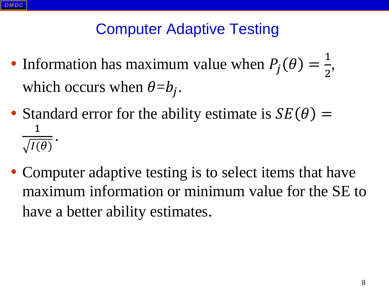- Information has maximum value when  $P_j(\theta)$  = 1 2 , which occurs when  $\theta = b_j$ .
- Standard error for the ability estimate is  $SE(\theta)$  = 1  $I(\theta)$ .
- Computer adaptive testing is to select items that have maximum information or minimum value for the SE to have a better ability estimates.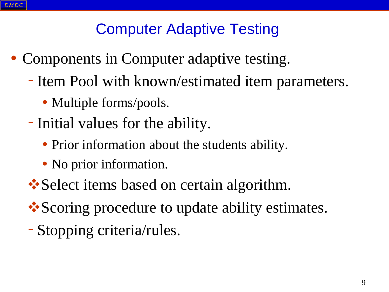- Components in Computer adaptive testing.
	- Item Pool with known/estimated item parameters.
		- Multiple forms/pools.
	- Initial values for the ability.
		- Prior information about the students ability.
		- No prior information.
	- **Select items based on certain algorithm.**
	- Scoring procedure to update ability estimates.
	- –Stopping criteria/rules.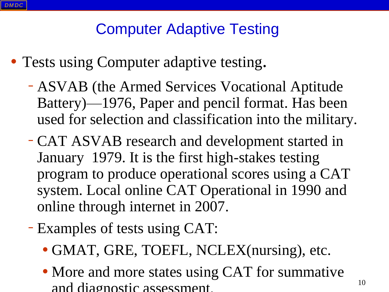- Tests using Computer adaptive testing.
	- ASVAB (the Armed Services Vocational Aptitude Battery)—1976, Paper and pencil format. Has been used for selection and classification into the military.
	- –CAT ASVAB research and development started in January 1979. It is the first high-stakes testing program to produce operational scores using a CAT system. Local online CAT Operational in 1990 and online through internet in 2007.
	- Examples of tests using CAT:
		- GMAT, GRE, TOEFL, NCLEX(nursing), etc.
		- More and more states using CAT for summative and diagnostic assessment.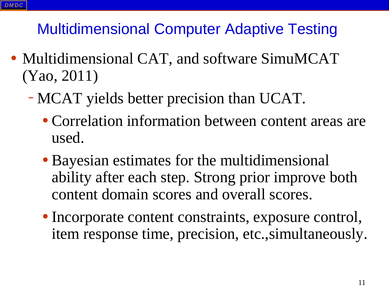- Multidimensional CAT, and software SimuMCAT (Yao, 2011)
	- –MCAT yields better precision than UCAT.
		- Correlation information between content areas are used.
		- Bayesian estimates for the multidimensional ability after each step. Strong prior improve both content domain scores and overall scores.
		- Incorporate content constraints, exposure control, item response time, precision, etc.,simultaneously.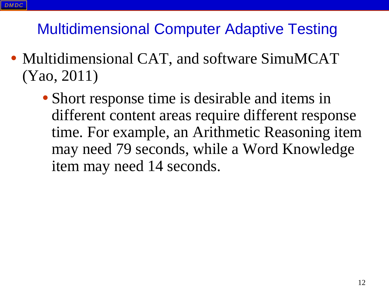- Multidimensional CAT, and software SimuMCAT (Yao, 2011)
	- Short response time is desirable and items in different content areas require different response time. For example, an Arithmetic Reasoning item may need 79 seconds, while a Word Knowledge item may need 14 seconds.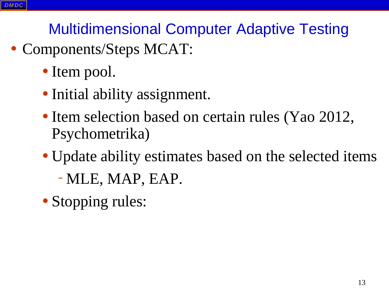- Components/Steps MCAT:
	- Item pool.
	- Initial ability assignment.
	- Item selection based on certain rules (Yao 2012, Psychometrika)
	- Update ability estimates based on the selected items
		- –MLE, MAP, EAP.
	- Stopping rules: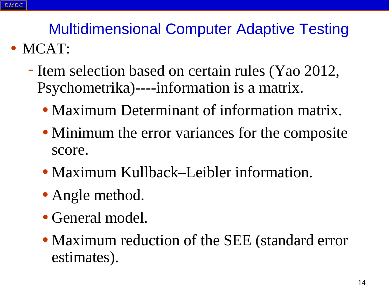- Item selection based on certain rules (Yao 2012, Psychometrika)----information is a matrix.
	- Maximum Determinant of information matrix.
	- Minimum the error variances for the composite score.
	- Maximum Kullback–Leibler information.
	- Angle method.
	- General model.
	- Maximum reduction of the SEE (standard error estimates).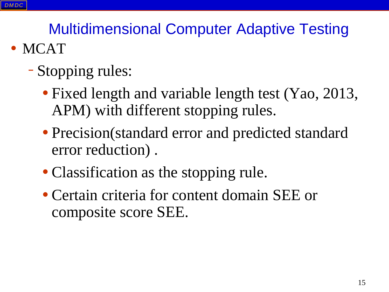- MCAT
	- –Stopping rules:
		- Fixed length and variable length test (Yao, 2013, APM) with different stopping rules.
		- Precision(standard error and predicted standard error reduction) .
		- Classification as the stopping rule.
		- Certain criteria for content domain SEE or composite score SEE.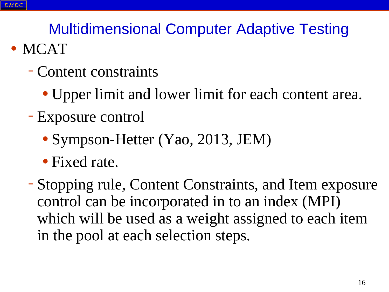#### • MCAT

- –Content constraints
	- Upper limit and lower limit for each content area.
- –Exposure control
	- Sympson-Hetter (Yao, 2013, JEM)
	- Fixed rate.

–Stopping rule, Content Constraints, and Item exposure control can be incorporated in to an index (MPI) which will be used as a weight assigned to each item in the pool at each selection steps.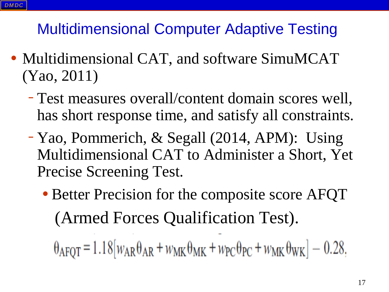- Multidimensional CAT, and software SimuMCAT (Yao, 2011)
	- –Test measures overall/content domain scores well, has short response time, and satisfy all constraints.
	- –Yao, Pommerich, & Segall (2014, APM): Using Multidimensional CAT to Administer a Short, Yet Precise Screening Test.
		- Better Precision for the composite score AFQT (Armed Forces Qualification Test).

 $\theta_{\text{AFQT}} = 1.18[w_{\text{AR}}\theta_{\text{AR}} + w_{\text{MK}}\theta_{\text{MK}} + w_{\text{PC}}\theta_{\text{PC}} + w_{\text{MK}}\theta_{\text{WK}}] - 0.28,$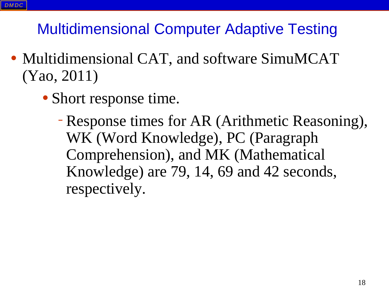- Multidimensional CAT, and software SimuMCAT (Yao, 2011)
	- Short response time.
		- –Response times for AR (Arithmetic Reasoning), WK (Word Knowledge), PC (Paragraph Comprehension), and MK (Mathematical Knowledge) are 79, 14, 69 and 42 seconds, respectively.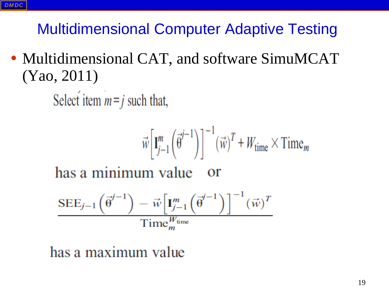• Multidimensional CAT, and software SimuMCAT (Yao, 2011)

Select item  $m = j$  such that,

$$
\vec{w} \left[ \mathbf{I}_{j-1}^{m} \left( \vec{\theta}^{j-1} \right) \right]^{-1} \left( \vec{w} \right)^{T} + W_{\text{time}} \times \text{Time}_{m}
$$

has a minimum value - or

$$
\frac{\text{SEE}_{j-1}\left(\vec{\theta}^{j-1}\right) - \vec{w}\left[\mathbf{I}_{j-1}^{m}\left(\vec{\theta}^{j-1}\right)\right]^{-1}(\vec{w})^{T}}{\text{Time}_{m}^{W_{\text{time}}}}
$$

has a maximum value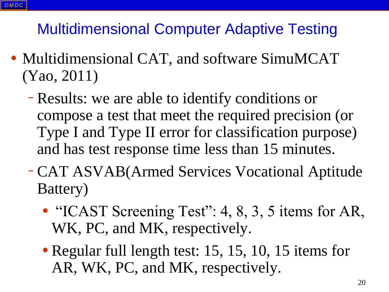- Multidimensional CAT, and software SimuMCAT (Yao, 2011)
	- –Results: we are able to identify conditions or compose a test that meet the required precision (or Type I and Type II error for classification purpose) and has test response time less than 15 minutes.
	- –CAT ASVAB(Armed Services Vocational Aptitude Battery)
		- "ICAST Screening Test": 4, 8, 3, 5 items for AR, WK, PC, and MK, respectively.
		- Regular full length test: 15, 15, 10, 15 items for AR, WK, PC, and MK, respectively.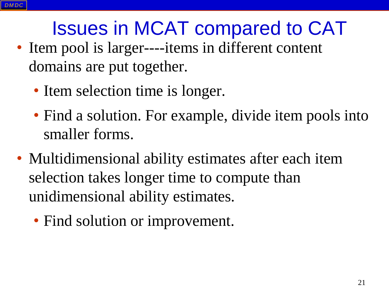### Issues in MCAT compared to CAT

- Item pool is larger----items in different content domains are put together.
	- Item selection time is longer.
	- Find a solution. For example, divide item pools into smaller forms.
- Multidimensional ability estimates after each item selection takes longer time to compute than unidimensional ability estimates.
	- Find solution or improvement.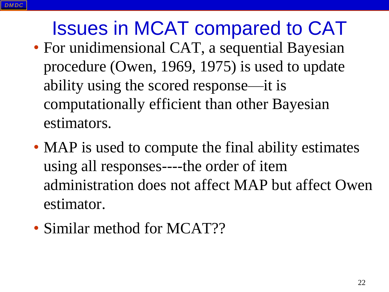Issues in MCAT compared to CAT • For unidimensional CAT, a sequential Bayesian procedure (Owen, 1969, 1975) is used to update ability using the scored response—it is computationally efficient than other Bayesian estimators.

- MAP is used to compute the final ability estimates using all responses----the order of item administration does not affect MAP but affect Owen estimator.
- Similar method for MCAT??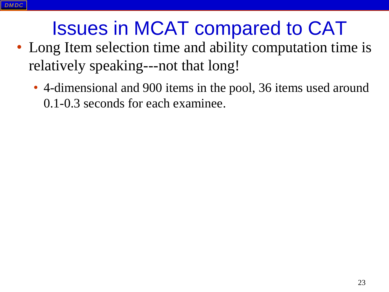### Issues in MCAT compared to CAT

- Long Item selection time and ability computation time is relatively speaking---not that long!
	- 4-dimensional and 900 items in the pool, 36 items used around 0.1-0.3 seconds for each examinee.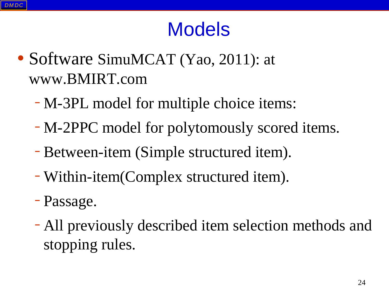### Models

- Software SimuMCAT (Yao, 2011): at www.BMIRT.com
	- –M-3PL model for multiple choice items:
	- –M-2PPC model for polytomously scored items.
	- –Between-item (Simple structured item).
	- –Within-item(Complex structured item).
	- –Passage.
	- –All previously described item selection methods and stopping rules.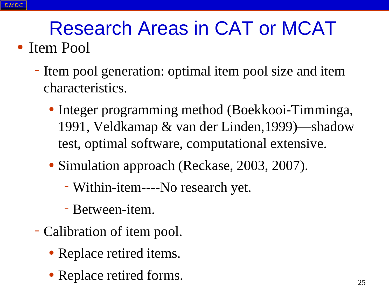### Research Areas in CAT or MCAT

### • Item Pool

- Item pool generation: optimal item pool size and item characteristics.
	- Integer programming method (Boekkooi-Timminga, 1991, Veldkamap & van der Linden,1999)—shadow test, optimal software, computational extensive.
	- Simulation approach (Reckase, 2003, 2007).
		- Within-item----No research yet.
		- Between-item.
- Calibration of item pool.
	- Replace retired items.
	- Replace retired forms.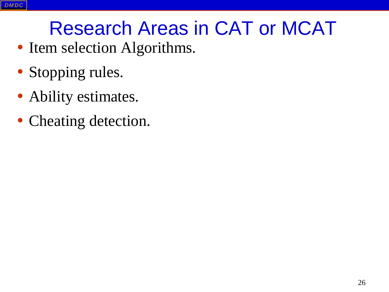### Research Areas in CAT or MCAT

- Item selection Algorithms.
- Stopping rules.
- Ability estimates.
- Cheating detection.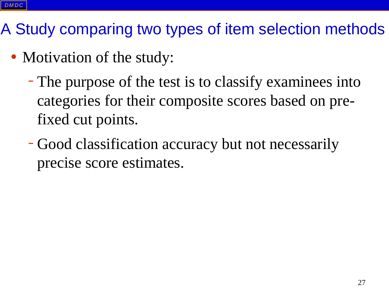- Motivation of the study:
	- –The purpose of the test is to classify examinees into categories for their composite scores based on prefixed cut points.
	- –Good classification accuracy but not necessarily precise score estimates.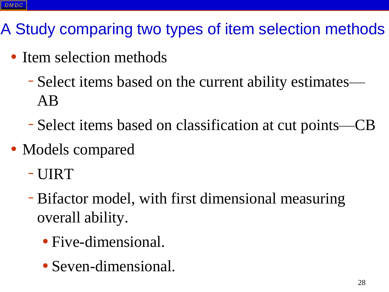- Item selection methods
	- –Select items based on the current ability estimates— AB
	- –Select items based on classification at cut points—CB
- Models compared
	- –UIRT
	- –Bifactor model, with first dimensional measuring overall ability.
		- Five-dimensional.
		- Seven-dimensional.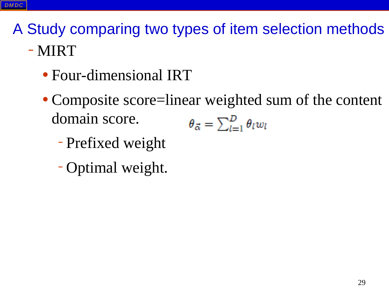- Four-dimensional IRT
- Composite score=linear weighted sum of the content domain score.  $\theta_{\vec{\alpha}} = \sum_{l=1}^D \theta_l w_l$ 
	- –Prefixed weight
	- –Optimal weight.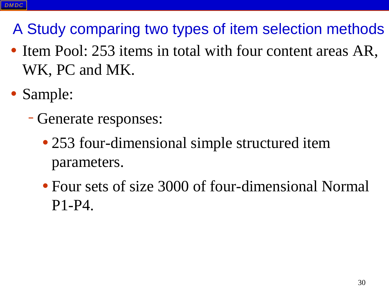- Item Pool: 253 items in total with four content areas AR, WK, PC and MK.
- Sample:
	- –Generate responses:
		- 253 four-dimensional simple structured item parameters.
		- Four sets of size 3000 of four-dimensional Normal P1-P4.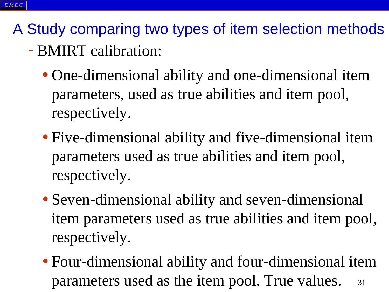- –BMIRT calibration:
	- One-dimensional ability and one-dimensional item parameters, used as true abilities and item pool, respectively.
	- Five-dimensional ability and five-dimensional item parameters used as true abilities and item pool, respectively.
	- Seven-dimensional ability and seven-dimensional item parameters used as true abilities and item pool, respectively.
	- Four-dimensional ability and four-dimensional item parameters used as the item pool. True values. 31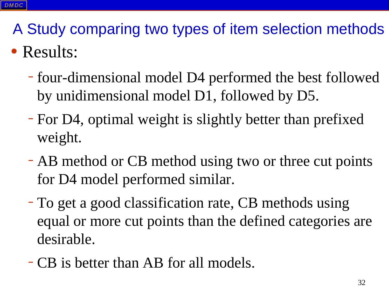### • Results:

- four-dimensional model D4 performed the best followed by unidimensional model D1, followed by D5.
- For D4, optimal weight is slightly better than prefixed weight.
- AB method or CB method using two or three cut points for D4 model performed similar.
- To get a good classification rate, CB methods using equal or more cut points than the defined categories are desirable.
- –CB is better than AB for all models.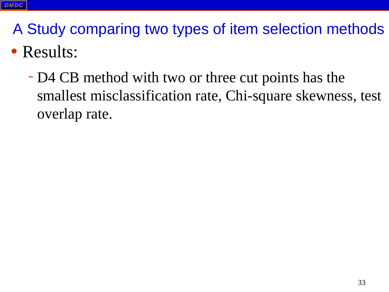### • Results:

– D4 CB method with two or three cut points has the smallest misclassification rate, Chi-square skewness, test overlap rate.